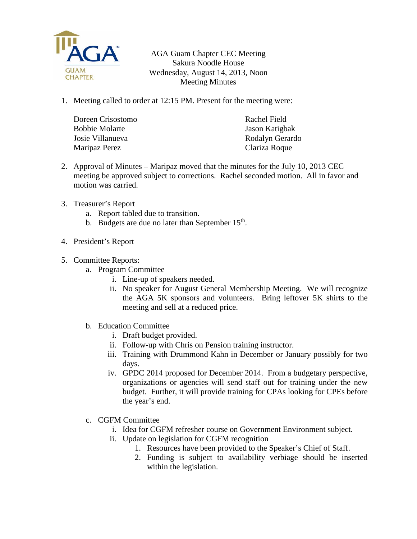

AGA Guam Chapter CEC Meeting Sakura Noodle House Wednesday, August 14, 2013, Noon Meeting Minutes

1. Meeting called to order at 12:15 PM. Present for the meeting were:

| Doreen Crisostomo | Rachel Field    |
|-------------------|-----------------|
| Bobbie Molarte    | Jason Katigbak  |
| Josie Villanueva  | Rodalyn Gerardo |
| Maripaz Perez     | Clariza Roque   |

- 2. Approval of Minutes Maripaz moved that the minutes for the July 10, 2013 CEC meeting be approved subject to corrections. Rachel seconded motion. All in favor and motion was carried.
- 3. Treasurer's Report
	- a. Report tabled due to transition.
	- b. Budgets are due no later than September  $15<sup>th</sup>$ .
- 4. President's Report
- 5. Committee Reports:
	- a. Program Committee
		- i. Line-up of speakers needed.
		- ii. No speaker for August General Membership Meeting. We will recognize the AGA 5K sponsors and volunteers. Bring leftover 5K shirts to the meeting and sell at a reduced price.
	- b. Education Committee
		- i. Draft budget provided.
		- ii. Follow-up with Chris on Pension training instructor.
		- iii. Training with Drummond Kahn in December or January possibly for two days.
		- iv. GPDC 2014 proposed for December 2014. From a budgetary perspective, organizations or agencies will send staff out for training under the new budget. Further, it will provide training for CPAs looking for CPEs before the year's end.
	- c. CGFM Committee
		- i. Idea for CGFM refresher course on Government Environment subject.
		- ii. Update on legislation for CGFM recognition
			- 1. Resources have been provided to the Speaker's Chief of Staff.
			- 2. Funding is subject to availability verbiage should be inserted within the legislation.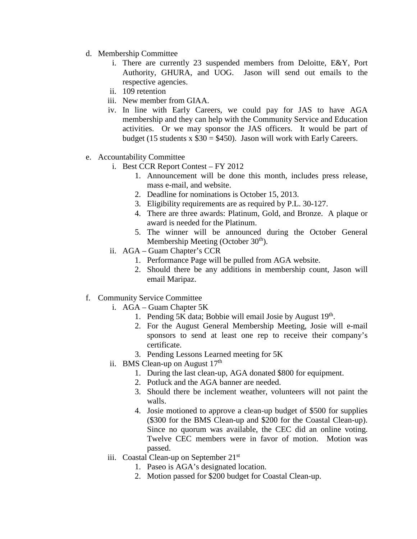- d. Membership Committee
	- i. There are currently 23 suspended members from Deloitte, E&Y, Port Authority, GHURA, and UOG. Jason will send out emails to the respective agencies.
	- ii. 109 retention
	- iii. New member from GIAA.
	- iv. In line with Early Careers, we could pay for JAS to have AGA membership and they can help with the Community Service and Education activities. Or we may sponsor the JAS officers. It would be part of budget (15 students x  $$30 = $450$ ). Jason will work with Early Careers.
- e. Accountability Committee
	- i. Best CCR Report Contest FY 2012
		- 1. Announcement will be done this month, includes press release, mass e-mail, and website.
		- 2. Deadline for nominations is October 15, 2013.
		- 3. Eligibility requirements are as required by P.L. 30-127.
		- 4. There are three awards: Platinum, Gold, and Bronze. A plaque or award is needed for the Platinum.
		- 5. The winner will be announced during the October General Membership Meeting (October  $30<sup>th</sup>$ ).
	- ii. AGA Guam Chapter's CCR
		- 1. Performance Page will be pulled from AGA website.
		- 2. Should there be any additions in membership count, Jason will email Maripaz.
- f. Community Service Committee
	- i. AGA Guam Chapter 5K
		- 1. Pending 5K data; Bobbie will email Josie by August  $19<sup>th</sup>$ .
		- 2. For the August General Membership Meeting, Josie will e-mail sponsors to send at least one rep to receive their company's certificate.
		- 3. Pending Lessons Learned meeting for 5K
	- ii. BMS Clean-up on August  $17<sup>th</sup>$ 
		- 1. During the last clean-up, AGA donated \$800 for equipment.
		- 2. Potluck and the AGA banner are needed.
		- 3. Should there be inclement weather, volunteers will not paint the walls.
		- 4. Josie motioned to approve a clean-up budget of \$500 for supplies (\$300 for the BMS Clean-up and \$200 for the Coastal Clean-up). Since no quorum was available, the CEC did an online voting. Twelve CEC members were in favor of motion. Motion was passed.
	- iii. Coastal Clean-up on September 21st
		- 1. Paseo is AGA's designated location.
		- 2. Motion passed for \$200 budget for Coastal Clean-up.